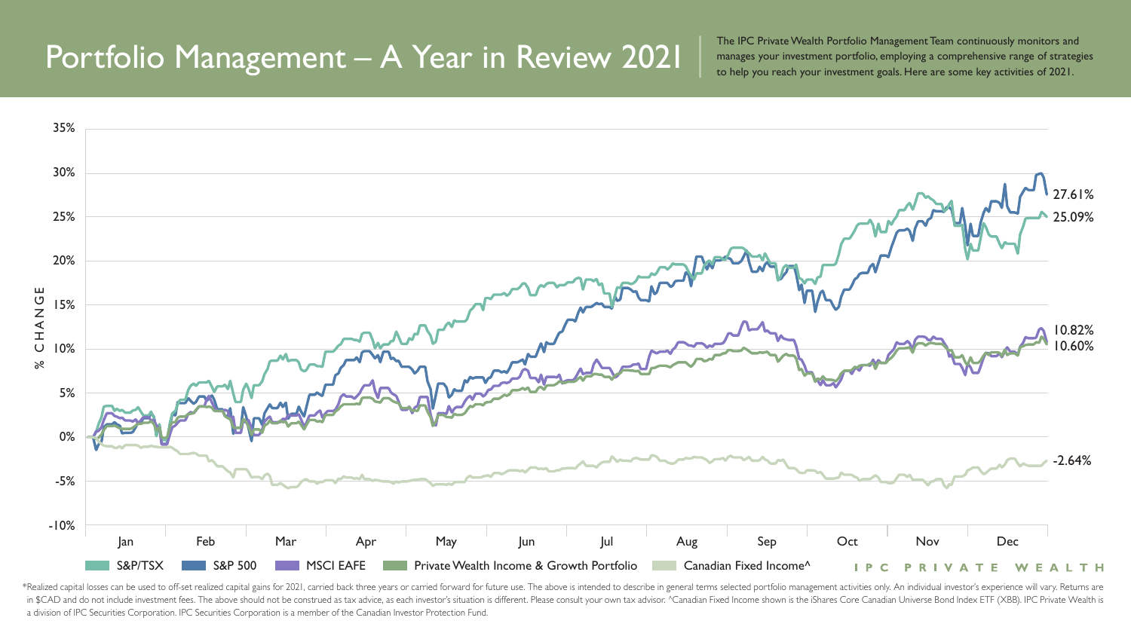\*Realized capital losses can be used to off-set realized capital gains for 2021, carried back three years or carried forward for future use. The above is intended to describe in general terms selected portfolio management in \$CAD and do not include investment fees. The above should not be construed as tax advice, as each investor's situation is different. Please consult your own tax advisor. ^Canadian Fixed Income shown is the iShares Core a division of IPC Securities Corporation. IPC Securities Corporation is a member of the Canadian Investor Protection Fund.

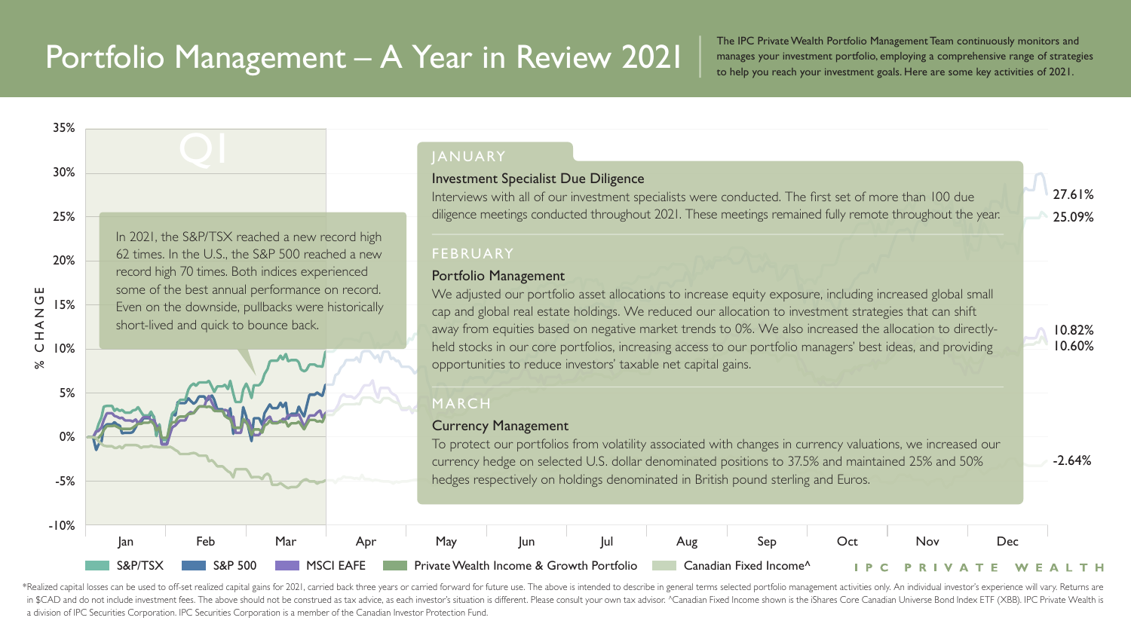\*Realized capital losses can be used to off-set realized capital gains for 2021, carried back three years or carried forward for future use. The above is intended to describe in general terms selected portfolio management in \$CAD and do not include investment fees. The above should not be construed as tax advice, as each investor's situation is different. Please consult your own tax advisor. ^Canadian Fixed Income shown is the iShares Core a division of IPC Securities Corporation. IPC Securities Corporation is a member of the Canadian Investor Protection Fund.

The IPC Private Wealth Portfolio Management Team continuously monitors and manages your investment portfolio, employing a comprehensive range of strategies to help you reach your investment goals. Here are some key activities of 2021.

35%

We adjusted our portfolio asset allocations to increase equity exposure, including increased global small cap and global real estate holdings. We reduced our allocation to investment strategies that can shift away from equities based on negative market trends to 0%. We also increased the allocation to directlyheld stocks in our core portfolios, increasing access to our portfolio managers' best ideas, and providing opportunities to reduce investors' taxable net capital gains.

30% 25% In 2021, the S&P/TSX reached a new record high 62 times. In the U.S., the S&P 500 reached a new 20% record high 70 times. Both indices experienced some of the best annual performance on record. **UDZKID** % CHANGE 15% Even on the downside, pullbacks were historically short-lived and quick to bounce back.10%  $\aleph$ 5% 0% -5%





### JANUARY

#### Investment Specialist Due Diligence

Interviews with all of our investment specialists were conducted. The first set of more than 100 due diligence meetings conducted throughout 2021. These meetings remained fully remote throughout the year.

### FEBRUARY

### Portfolio Management

### MARCH

#### Currency Management

To protect our portfolios from volatility associated with changes in currency valuations, we increased our currency hedge on selected U.S. dollar denominated positions to 37.5% and maintained 25% and 50% hedges respectively on holdings denominated in British pound sterling and Euros.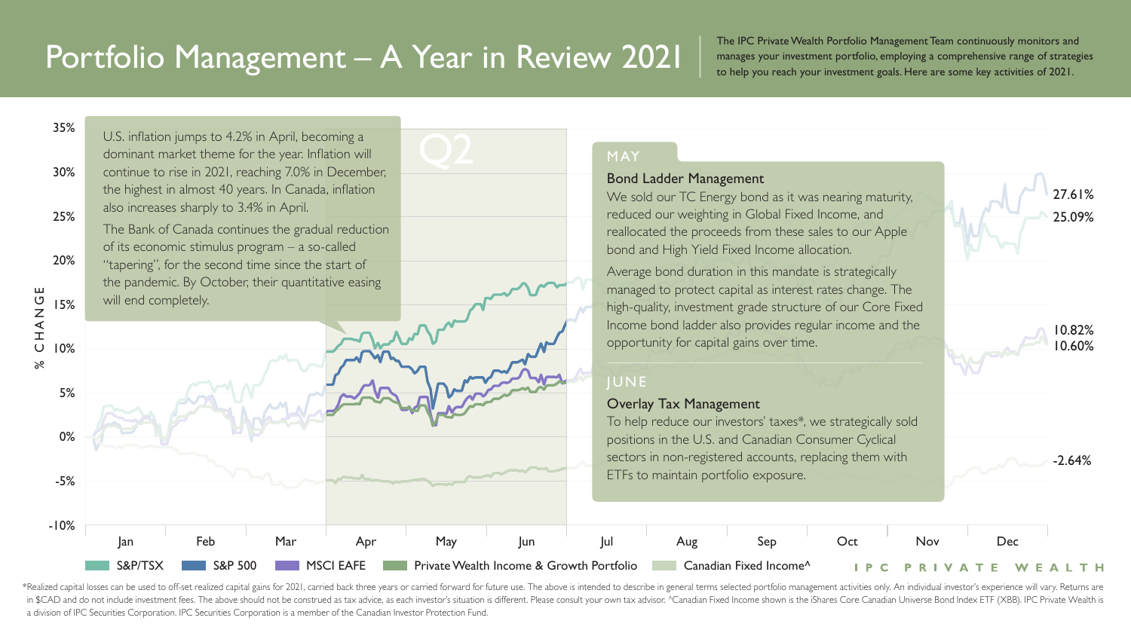\*Realized capital losses can be used to off-set realized capital gains for 2021, carried back three years or carried forward for future use. The above is intended to describe in general terms selected portfolio management in \$CAD and do not include investment fees. The above should not be construed as tax advice, as each investor's situation is different. Please consult your own tax advisor. ^Canadian Fixed Income shown is the iShares Core a division of IPC Securities Corporation. IPC Securities Corporation is a member of the Canadian Investor Protection Fund.

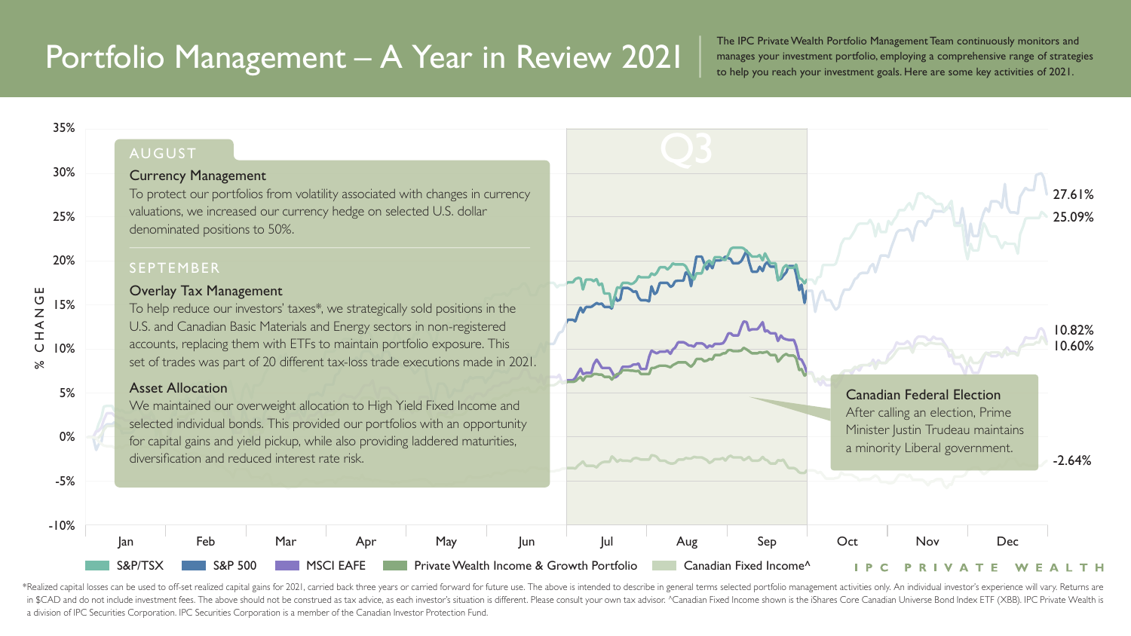\*Realized capital losses can be used to off-set realized capital gains for 2021, carried back three years or carried forward for future use. The above is intended to describe in general terms selected portfolio management in \$CAD and do not include investment fees. The above should not be construed as tax advice, as each investor's situation is different. Please consult your own tax advisor. ^Canadian Fixed Income shown is the iShares Core a division of IPC Securities Corporation. IPC Securities Corporation is a member of the Canadian Investor Protection Fund.